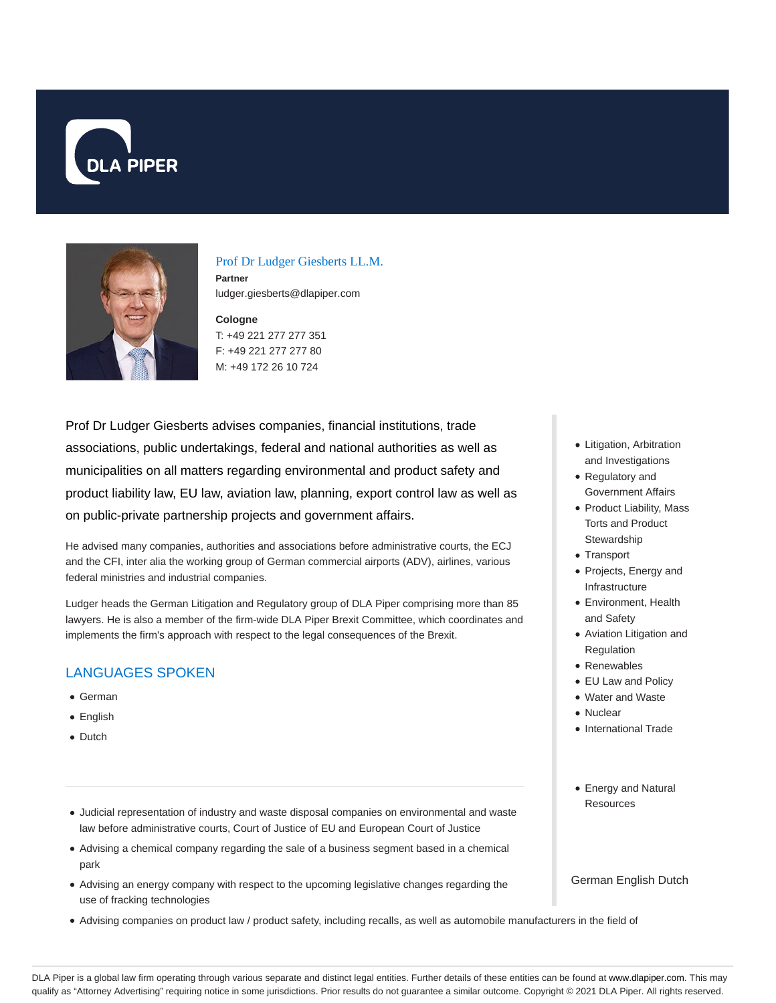



## Prof Dr Ludger Giesberts LL.M.

**Partner** ludger.giesberts@dlapiper.com

**Cologne** T: +49 221 277 277 351 F: +49 221 277 277 80 M: +49 172 26 10 724

Prof Dr Ludger Giesberts advises companies, financial institutions, trade associations, public undertakings, federal and national authorities as well as municipalities on all matters regarding environmental and product safety and product liability law, EU law, aviation law, planning, export control law as well as on public-private partnership projects and government affairs.

He advised many companies, authorities and associations before administrative courts, the ECJ and the CFI, inter alia the working group of German commercial airports (ADV), airlines, various federal ministries and industrial companies.

Ludger heads the German Litigation and Regulatory group of DLA Piper comprising more than 85 lawyers. He is also a member of the firm-wide DLA Piper Brexit Committee, which coordinates and implements the firm's approach with respect to the legal consequences of the Brexit.

# LANGUAGES SPOKEN

- German
- English
- Dutch
- Judicial representation of industry and waste disposal companies on environmental and waste law before administrative courts, Court of Justice of EU and European Court of Justice
- Advising a chemical company regarding the sale of a business segment based in a chemical park
- Advising an energy company with respect to the upcoming legislative changes regarding the use of fracking technologies
- Advising companies on product law / product safety, including recalls, as well as automobile manufacturers in the field of
- Litigation, Arbitration and Investigations
- Regulatory and Government Affairs
- Product Liability, Mass Torts and Product **Stewardship**
- Transport
- Projects, Energy and Infrastructure
- Environment, Health and Safety
- Aviation Litigation and Regulation
- Renewables
- EU Law and Policy
- Water and Waste
- Nuclear
- International Trade
- Energy and Natural Resources

German English Dutch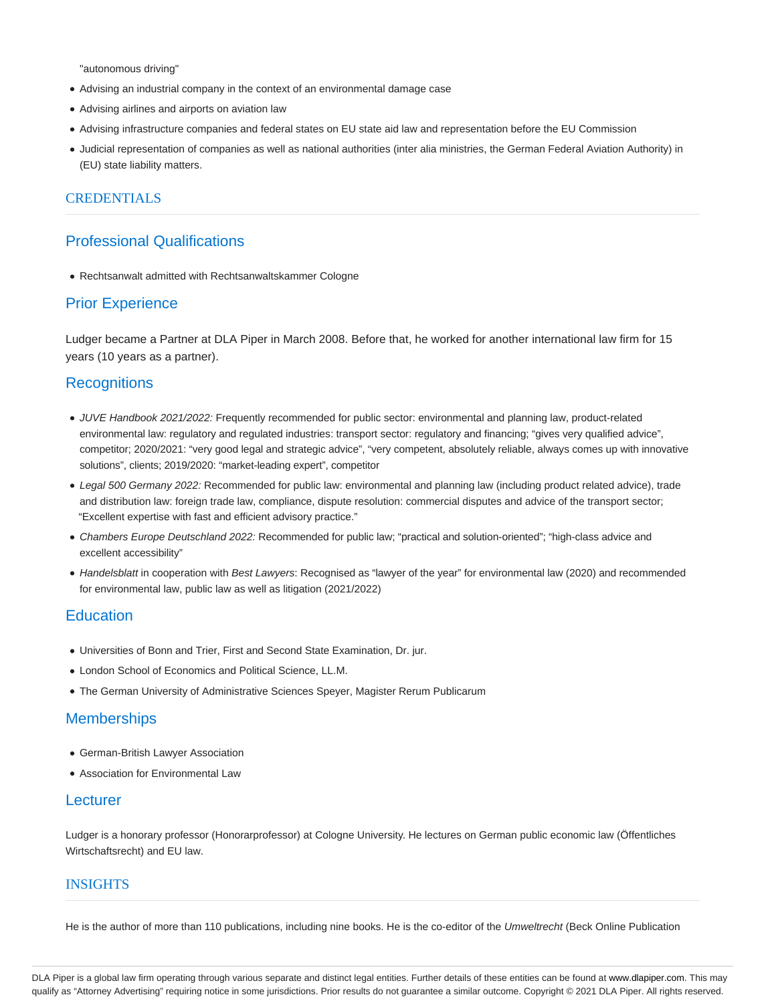"autonomous driving"

- Advising an industrial company in the context of an environmental damage case
- Advising airlines and airports on aviation law
- Advising infrastructure companies and federal states on EU state aid law and representation before the EU Commission
- Judicial representation of companies as well as national authorities (inter alia ministries, the German Federal Aviation Authority) in (EU) state liability matters.

### CREDENTIALS

## Professional Qualifications

Rechtsanwalt admitted with Rechtsanwaltskammer Cologne

## Prior Experience

Ludger became a Partner at DLA Piper in March 2008. Before that, he worked for another international law firm for 15 years (10 years as a partner).

## **Recognitions**

- JUVE Handbook 2021/2022: Frequently recommended for public sector: environmental and planning law, product-related environmental law: regulatory and regulated industries: transport sector: regulatory and financing; "gives very qualified advice", competitor; 2020/2021: "very good legal and strategic advice", "very competent, absolutely reliable, always comes up with innovative solutions", clients; 2019/2020: "market-leading expert", competitor
- Legal 500 Germany 2022: Recommended for public law: environmental and planning law (including product related advice), trade and distribution law: foreign trade law, compliance, dispute resolution: commercial disputes and advice of the transport sector; "Excellent expertise with fast and efficient advisory practice."
- Chambers Europe Deutschland 2022: Recommended for public law; "practical and solution-oriented"; "high-class advice and excellent accessibility"
- Handelsblatt in cooperation with Best Lawyers: Recognised as "lawyer of the year" for environmental law (2020) and recommended for environmental law, public law as well as litigation (2021/2022)

## **Education**

- Universities of Bonn and Trier, First and Second State Examination, Dr. jur.
- London School of Economics and Political Science, LL.M.
- The German University of Administrative Sciences Speyer, Magister Rerum Publicarum

### **Memberships**

- German-British Lawyer Association
- Association for Environmental Law

### **Lecturer**

Ludger is a honorary professor (Honorarprofessor) at Cologne University. He lectures on German public economic law (Öffentliches Wirtschaftsrecht) and EU law.

## INSIGHTS

He is the author of more than 110 publications, including nine books. He is the co-editor of the Umweltrecht (Beck Online Publication

DLA Piper is a global law firm operating through various separate and distinct legal entities. Further details of these entities can be found at www.dlapiper.com. This may qualify as "Attorney Advertising" requiring notice in some jurisdictions. Prior results do not guarantee a similar outcome. Copyright © 2021 DLA Piper. All rights reserved.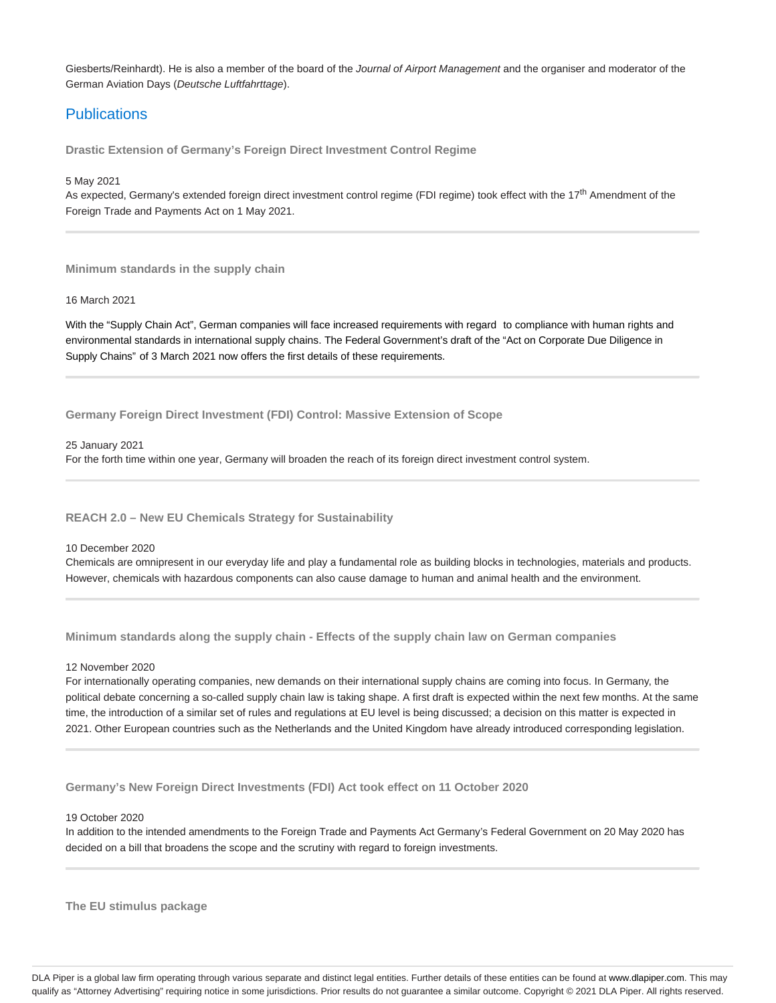Giesberts/Reinhardt). He is also a member of the board of the Journal of Airport Management and the organiser and moderator of the German Aviation Days (Deutsche Luftfahrttage).

## **Publications**

**Drastic Extension of Germany's Foreign Direct Investment Control Regime**

5 May 2021

As expected, Germany's extended foreign direct investment control regime (FDI regime) took effect with the 17<sup>th</sup> Amendment of the Foreign Trade and Payments Act on 1 May 2021.

**Minimum standards in the supply chain**

#### 16 March 2021

With the "Supply Chain Act", German companies will face increased requirements with regard to compliance with human rights and environmental standards in international supply chains. The Federal Government's draft of the "Act on Corporate Due Diligence in Supply Chains" of 3 March 2021 now offers the first details of these requirements.

**Germany Foreign Direct Investment (FDI) Control: Massive Extension of Scope**

25 January 2021

For the forth time within one year, Germany will broaden the reach of its foreign direct investment control system.

**REACH 2.0 – New EU Chemicals Strategy for Sustainability**

10 December 2020

Chemicals are omnipresent in our everyday life and play a fundamental role as building blocks in technologies, materials and products. However, chemicals with hazardous components can also cause damage to human and animal health and the environment.

**Minimum standards along the supply chain - Effects of the supply chain law on German companies**

#### 12 November 2020

For internationally operating companies, new demands on their international supply chains are coming into focus. In Germany, the political debate concerning a so-called supply chain law is taking shape. A first draft is expected within the next few months. At the same time, the introduction of a similar set of rules and regulations at EU level is being discussed; a decision on this matter is expected in 2021. Other European countries such as the Netherlands and the United Kingdom have already introduced corresponding legislation.

**Germany's New Foreign Direct Investments (FDI) Act took effect on 11 October 2020**

#### 19 October 2020

In addition to the intended amendments to the Foreign Trade and Payments Act Germany's Federal Government on 20 May 2020 has decided on a bill that broadens the scope and the scrutiny with regard to foreign investments.

**The EU stimulus package**

DLA Piper is a global law firm operating through various separate and distinct legal entities. Further details of these entities can be found at www.dlapiper.com. This may qualify as "Attorney Advertising" requiring notice in some jurisdictions. Prior results do not guarantee a similar outcome. Copyright @ 2021 DLA Piper. All rights reserved.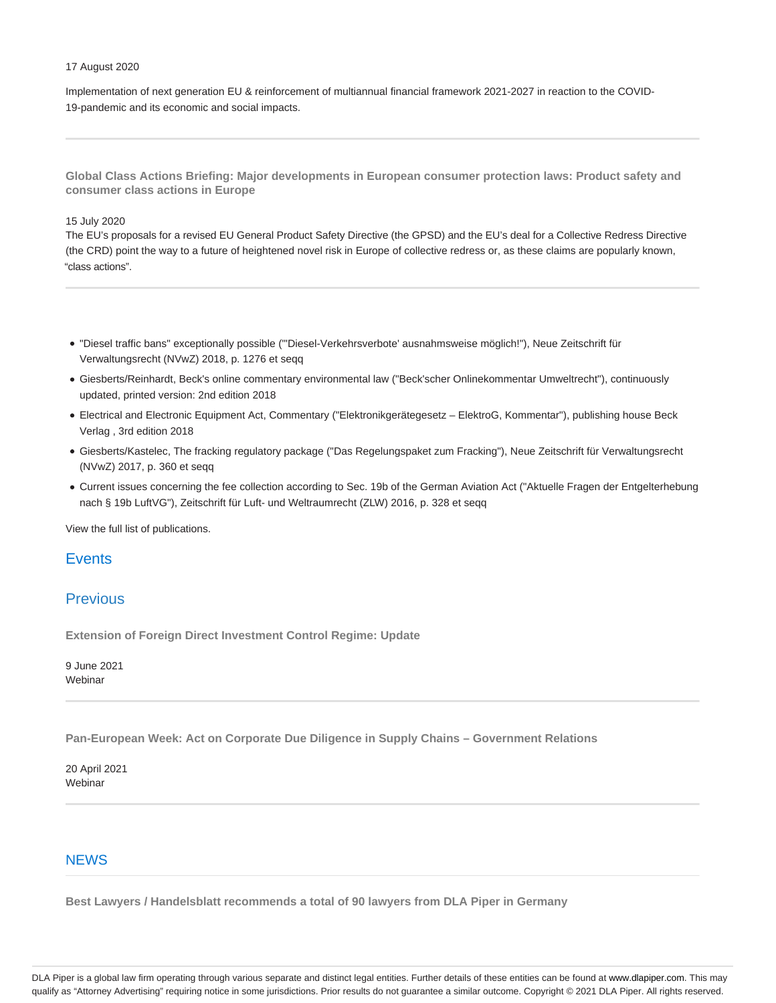#### 17 August 2020

Implementation of next generation EU & reinforcement of multiannual financial framework 2021-2027 in reaction to the COVID-19-pandemic and its economic and social impacts.

**Global Class Actions Briefing: Major developments in European consumer protection laws: Product safety and consumer class actions in Europe**

### 15 July 2020

The EU's proposals for a revised EU General Product Safety Directive (the GPSD) and the EU's deal for a Collective Redress Directive (the CRD) point the way to a future of heightened novel risk in Europe of collective redress or, as these claims are popularly known, "class actions".

- "Diesel traffic bans" exceptionally possible ("'Diesel-Verkehrsverbote' ausnahmsweise möglich!"), Neue Zeitschrift für Verwaltungsrecht (NVwZ) 2018, p. 1276 et seqq
- Giesberts/Reinhardt, Beck's online commentary environmental law ("Beck'scher Onlinekommentar Umweltrecht"), continuously updated, printed version: 2nd edition 2018
- Electrical and Electronic Equipment Act, Commentary ("Elektronikgerätegesetz ElektroG, Kommentar"), publishing house Beck Verlag , 3rd edition 2018
- Giesberts/Kastelec, The fracking regulatory package ("Das Regelungspaket zum Fracking"), Neue Zeitschrift für Verwaltungsrecht (NVwZ) 2017, p. 360 et seqq
- Current issues concerning the fee collection according to Sec. 19b of the German Aviation Act ("Aktuelle Fragen der Entgelterhebung nach § 19b LuftVG"), Zeitschrift für Luft- und Weltraumrecht (ZLW) 2016, p. 328 et seqq

View the full list of publications.

### **Events**

## Previous

**Extension of Foreign Direct Investment Control Regime: Update**

9 June 2021 Webinar

**Pan-European Week: Act on Corporate Due Diligence in Supply Chains – Government Relations**

20 April 2021 Webinar

### **NEWS**

**Best Lawyers / Handelsblatt recommends a total of 90 lawyers from DLA Piper in Germany**

DLA Piper is a global law firm operating through various separate and distinct legal entities. Further details of these entities can be found at www.dlapiper.com. This may qualify as "Attorney Advertising" requiring notice in some jurisdictions. Prior results do not guarantee a similar outcome. Copyright @ 2021 DLA Piper. All rights reserved.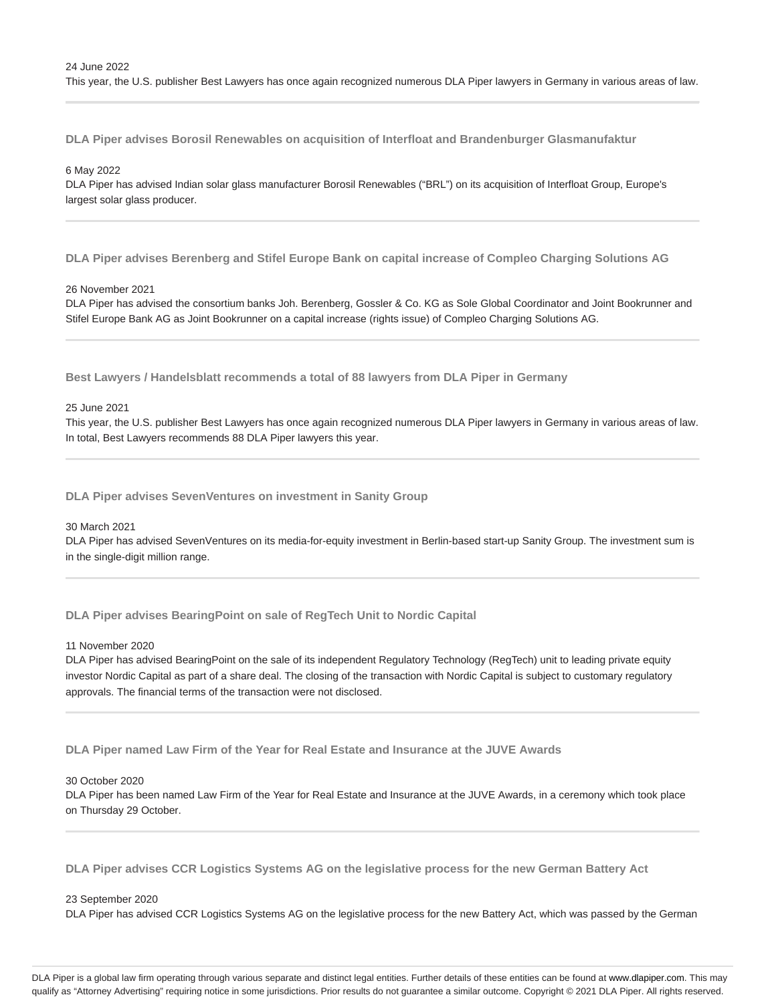**DLA Piper advises Borosil Renewables on acquisition of Interfloat and Brandenburger Glasmanufaktur**

#### 6 May 2022

DLA Piper has advised Indian solar glass manufacturer Borosil Renewables ("BRL") on its acquisition of Interfloat Group, Europe's largest solar glass producer.

**DLA Piper advises Berenberg and Stifel Europe Bank on capital increase of Compleo Charging Solutions AG**

#### 26 November 2021

DLA Piper has advised the consortium banks Joh. Berenberg, Gossler & Co. KG as Sole Global Coordinator and Joint Bookrunner and Stifel Europe Bank AG as Joint Bookrunner on a capital increase (rights issue) of Compleo Charging Solutions AG.

**Best Lawyers / Handelsblatt recommends a total of 88 lawyers from DLA Piper in Germany**

#### 25 June 2021

This year, the U.S. publisher Best Lawyers has once again recognized numerous DLA Piper lawyers in Germany in various areas of law. In total, Best Lawyers recommends 88 DLA Piper lawyers this year.

**DLA Piper advises SevenVentures on investment in Sanity Group**

#### 30 March 2021

DLA Piper has advised SevenVentures on its media-for-equity investment in Berlin-based start-up Sanity Group. The investment sum is in the single-digit million range.

**DLA Piper advises BearingPoint on sale of RegTech Unit to Nordic Capital**

#### 11 November 2020

DLA Piper has advised BearingPoint on the sale of its independent Regulatory Technology (RegTech) unit to leading private equity investor Nordic Capital as part of a share deal. The closing of the transaction with Nordic Capital is subject to customary regulatory approvals. The financial terms of the transaction were not disclosed.

**DLA Piper named Law Firm of the Year for Real Estate and Insurance at the JUVE Awards**

#### 30 October 2020

DLA Piper has been named Law Firm of the Year for Real Estate and Insurance at the JUVE Awards, in a ceremony which took place on Thursday 29 October.

**DLA Piper advises CCR Logistics Systems AG on the legislative process for the new German Battery Act**

#### 23 September 2020

DLA Piper has advised CCR Logistics Systems AG on the legislative process for the new Battery Act, which was passed by the German

DLA Piper is a global law firm operating through various separate and distinct legal entities. Further details of these entities can be found at www.dlapiper.com. This may qualify as "Attorney Advertising" requiring notice in some jurisdictions. Prior results do not guarantee a similar outcome. Copyright @ 2021 DLA Piper. All rights reserved.